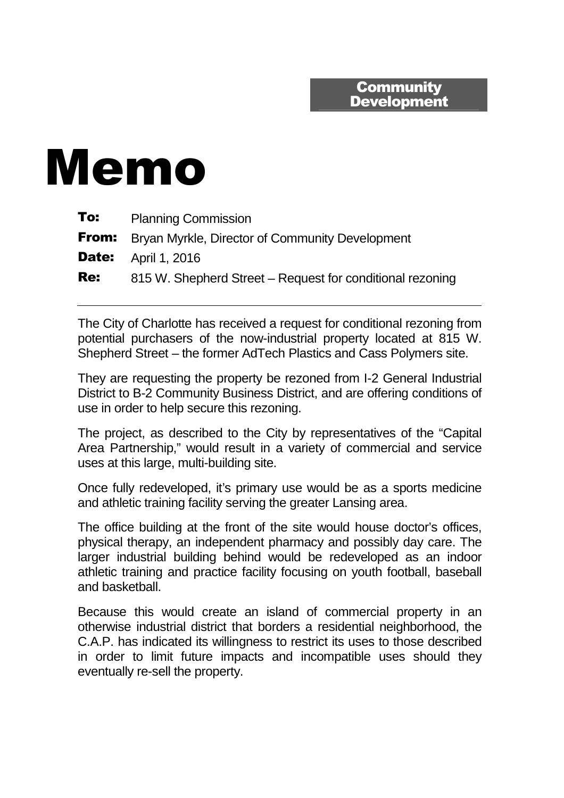## **Community Development**

## Memo

| To:        | <b>Planning Commission</b>                                   |
|------------|--------------------------------------------------------------|
|            | <b>From:</b> Bryan Myrkle, Director of Community Development |
|            | <b>Date:</b> April 1, 2016                                   |
| <b>Re:</b> | 815 W. Shepherd Street – Request for conditional rezoning    |

The City of Charlotte has received a request for conditional rezoning from potential purchasers of the now-industrial property located at 815 W. Shepherd Street – the former AdTech Plastics and Cass Polymers site.

They are requesting the property be rezoned from I-2 General Industrial District to B-2 Community Business District, and are offering conditions of use in order to help secure this rezoning.

The project, as described to the City by representatives of the "Capital Area Partnership," would result in a variety of commercial and service uses at this large, multi-building site.

Once fully redeveloped, it's primary use would be as a sports medicine and athletic training facility serving the greater Lansing area.

The office building at the front of the site would house doctor's offices, physical therapy, an independent pharmacy and possibly day care. The larger industrial building behind would be redeveloped as an indoor athletic training and practice facility focusing on youth football, baseball and basketball.

Because this would create an island of commercial property in an otherwise industrial district that borders a residential neighborhood, the C.A.P. has indicated its willingness to restrict its uses to those described in order to limit future impacts and incompatible uses should they eventually re-sell the property.